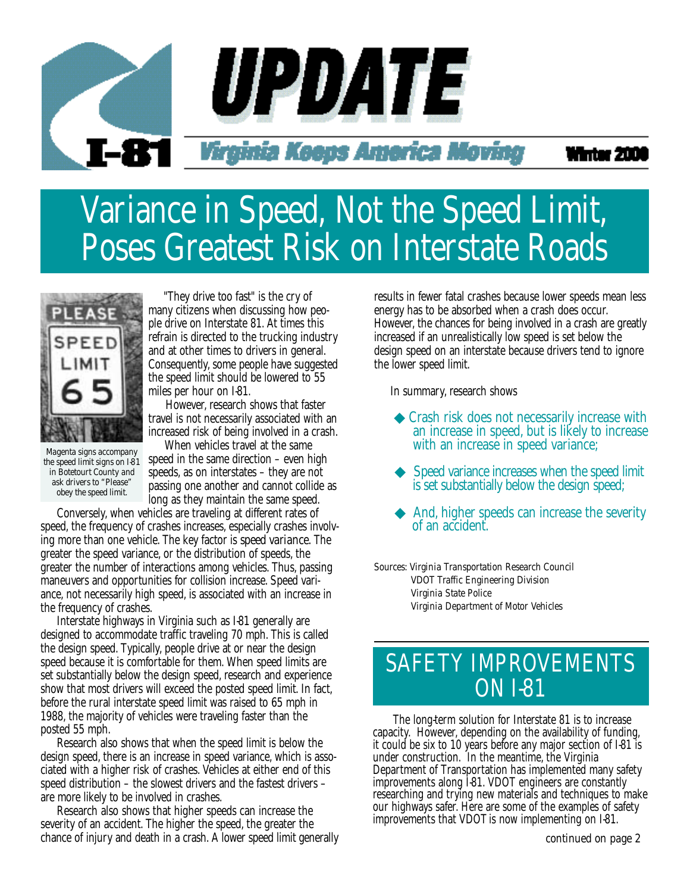

#### Winter 200

## Variance in Speed, Not the Speed Limit, Poses Greatest Risk on Interstate Roads



"They drive too fast" is the cry of many citizens when discussing how people drive on Interstate 81. At times this refrain is directed to the trucking industry and at other times to drivers in general. Consequently, some people have suggested the speed limit should be lowered to 55 miles per hour on I-81.

However, research shows that faster travel is not necessarily associated with an increased risk of being involved in a crash.

*Magenta signs accompany the speed limit signs on I-81 in Botetourt County and ask drivers to "Please" obey the speed limit.*

When vehicles travel at the same speed in the same direction – even high speeds, as on interstates – they are not passing one another and cannot collide as long as they maintain the same speed.

Conversely, when vehicles are traveling at different rates of speed, the frequency of crashes increases, especially crashes involving more than one vehicle. The key factor is *speed variance.* The greater the speed variance, or the distribution of speeds, the greater the number of interactions among vehicles. Thus, passing maneuvers and opportunities for collision increase. Speed variance, not necessarily high speed, is associated with an increase in the frequency of crashes.

Interstate highways in Virginia such as I-81 generally are designed to accommodate traffic traveling 70 mph. This is called the design speed. Typically, people drive at or near the design speed because it is comfortable for them. When speed limits are set substantially below the design speed, research and experience show that most drivers will exceed the posted speed limit. In fact, before the rural interstate speed limit was raised to 65 mph in 1988, the majority of vehicles were traveling faster than the posted 55 mph.

Research also shows that when the speed limit is below the design speed, there is an increase in speed variance, which is associated with a higher risk of crashes. Vehicles at either end of this speed distribution – the slowest drivers and the fastest drivers – are more likely to be involved in crashes.

Research also shows that higher speeds can increase the severity of an accident. The higher the speed, the greater the chance of injury and death in a crash. A lower speed limit generally

results in fewer fatal crashes because lower speeds mean less energy has to be absorbed when a crash does occur. However, the chances for being involved in a crash are greatly increased if an unrealistically low speed is set below the design speed on an interstate because drivers tend to ignore the lower speed limit.

In summary, research shows

- ◆ Crash risk does not necessarily increase with an increase in speed, but is likely to increase with an increase in speed variance;
- Speed variance increases when the speed limit is set substantially below the design speed;
- And, higher speeds can increase the severity of an accident.

*Sources: Virginia Transportation Research Council VDOT Traffic Engineering Division Virginia State Police Virginia Department of Motor Vehicles*

## SAFETY IMPROVEMENTS **ON I-81**

The long-term solution for Interstate 81 is to increase capacity. However, depending on the availability of funding, it could be six to 10 years before any major section of I-81 is under construction. In the meantime, the Virginia Department of Transportation has implemented many safety improvements along I-81. VDOT engineers are constantly researching and trying new materials and techniques to make our highways safer. Here are some of the examples of safety improvements that VDOT is now implementing on I-81.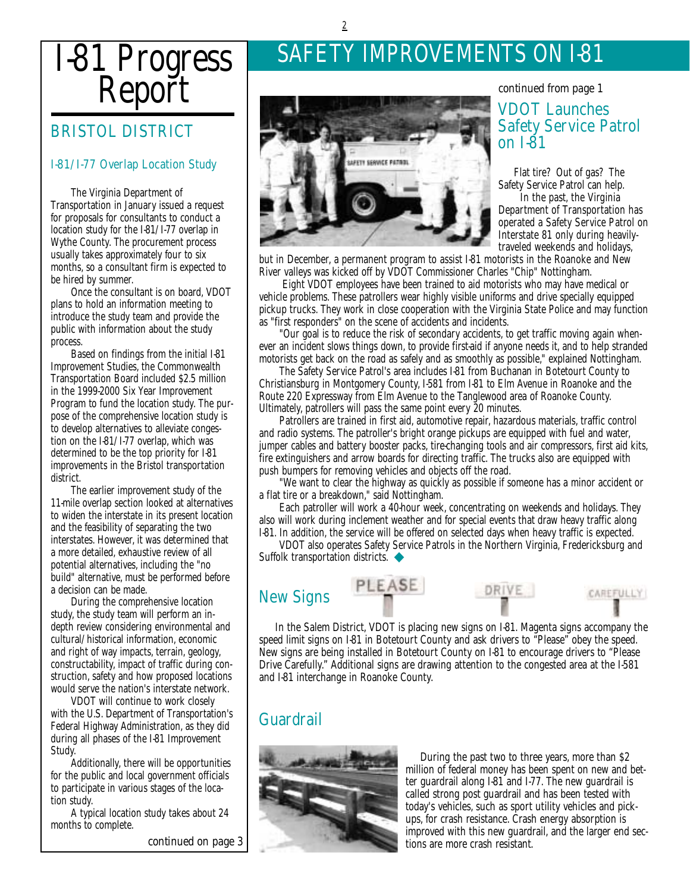# I-81 Progress Report

#### BRISTOL DISTRICT

#### I-81/I-77 Overlap Location Study

The Virginia Department of Transportation in January issued a request for proposals for consultants to conduct a location study for the I-81/I-77 overlap in Wythe County. The procurement process usually takes approximately four to six months, so a consultant firm is expected to be hired by summer.

Once the consultant is on board, VDOT plans to hold an information meeting to introduce the study team and provide the public with information about the study process.

Based on findings from the initial I-81 Improvement Studies, the Commonwealth Transportation Board included \$2.5 million in the 1999-2000 Six Year Improvement Program to fund the location study. The purpose of the comprehensive location study is to develop alternatives to alleviate congestion on the I-81/I-77 overlap, which was determined to be the top priority for I-81 improvements in the Bristol transportation district.

The earlier improvement study of the 11-mile overlap section looked at alternatives to widen the interstate in its present location and the feasibility of separating the two interstates. However, it was determined that a more detailed, exhaustive review of all potential alternatives, including the "no build" alternative, must be performed before a decision can be made.

During the comprehensive location study, the study team will perform an indepth review considering environmental and cultural/historical information, economic and right of way impacts, terrain, geology, constructability, impact of traffic during construction, safety and how proposed locations would serve the nation's interstate network.

VDOT will continue to work closely with the U.S. Department of Transportation's Federal Highway Administration, as they did during all phases of the I-81 Improvement Study.

Additionally, there will be opportunities for the public and local government officials to participate in various stages of the location study.

A typical location study takes about 24 months to complete.

*continued on page 3*

## SAFETY IMPROVEMENTS ON I-81



#### VDOT Launches *continued from page 1*

### Safety Service Patrol on I-81

Flat tire? Out of gas? The Safety Service Patrol can help.

In the past, the Virginia Department of Transportation has operated a Safety Service Patrol on Interstate 81 only during heavilytraveled weekends and holidays,

but in December, a permanent program to assist I-81 motorists in the Roanoke and New River valleys was kicked off by VDOT Commissioner Charles "Chip" Nottingham.

Eight VDOT employees have been trained to aid motorists who may have medical or vehicle problems. These patrollers wear highly visible uniforms and drive specially equipped pickup trucks. They work in close cooperation with the Virginia State Police and may function as "first responders" on the scene of accidents and incidents.

"Our goal is to reduce the risk of secondary accidents, to get traffic moving again whenever an incident slows things down, to provide first-aid if anyone needs it, and to help stranded motorists get back on the road as safely and as smoothly as possible," explained Nottingham.

The Safety Service Patrol's area includes I-81 from Buchanan in Botetourt County to Christiansburg in Montgomery County, I-581 from I-81 to Elm Avenue in Roanoke and the Route 220 Expressway from Elm Avenue to the Tanglewood area of Roanoke County. Ultimately, patrollers will pass the same point every 20 minutes.

Patrollers are trained in first aid, automotive repair, hazardous materials, traffic control and radio systems. The patroller's bright orange pickups are equipped with fuel and water, jumper cables and battery booster packs, tire-changing tools and air compressors, first aid kits, fire extinguishers and arrow boards for directing traffic. The trucks also are equipped with push bumpers for removing vehicles and objects off the road.

"We want to clear the highway as quickly as possible if someone has a minor accident or a flat tire or a breakdown," said Nottingham.

Each patroller will work a 40-hour week, concentrating on weekends and holidays. They also will work during inclement weather and for special events that draw heavy traffic along I-81. In addition, the service will be offered on selected days when heavy traffic is expected.

VDOT also operates Safety Service Patrols in the Northern Virginia, Fredericksburg and Suffolk transportation districts. ◆

#### New Signs





**CAREFULLY** 

In the Salem District, VDOT is placing new signs on I-81. Magenta signs accompany the speed limit signs on I-81 in Botetourt County and ask drivers to "Please" obey the speed. New signs are being installed in Botetourt County on I-81 to encourage drivers to "Please Drive Carefully." Additional signs are drawing attention to the congested area at the I-581 and I-81 interchange in Roanoke County.

#### **Guardrail**



During the past two to three years, more than \$2 million of federal money has been spent on new and better guardrail along I-81 and I-77. The new guardrail is called strong post guardrail and has been tested with today's vehicles, such as sport utility vehicles and pickups, for crash resistance. Crash energy absorption is improved with this new guardrail, and the larger end sections are more crash resistant.

2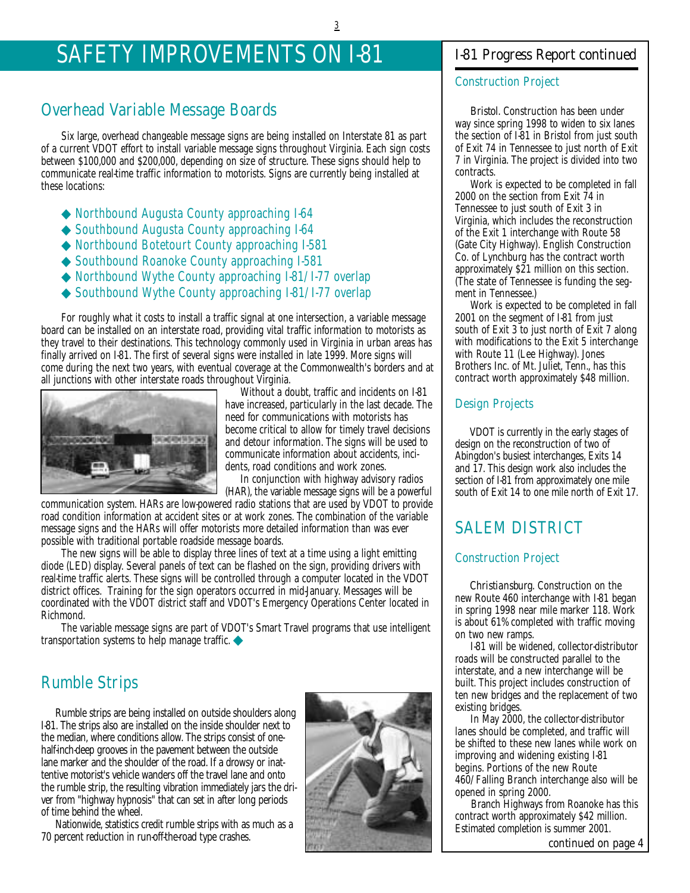## SAFETY IMPROVEMENTS ON I-81

#### Overhead Variable Message Boards

Six large, overhead changeable message signs are being installed on Interstate 81 as part of a current VDOT effort to install variable message signs throughout Virginia. Each sign costs between \$100,000 and \$200,000, depending on size of structure. These signs should help to communicate real-time traffic information to motorists. Signs are currently being installed at these locations:

- ◆ Northbound Augusta County approaching I-64
- ◆ Southbound Augusta County approaching I-64
- ◆ Northbound Botetourt County approaching I-581
- ◆ Southbound Roanoke County approaching I-581
- ◆ Northbound Wythe County approaching I-81/I-77 overlap
- ◆ Southbound Wythe County approaching I-81/I-77 overlap

For roughly what it costs to install a traffic signal at one intersection, a variable message board can be installed on an interstate road, providing vital traffic information to motorists as they travel to their destinations. This technology commonly used in Virginia in urban areas has finally arrived on I-81. The first of several signs were installed in late 1999. More signs will come during the next two years, with eventual coverage at the Commonwealth's borders and at all junctions with other interstate roads throughout Virginia.



Without a doubt, traffic and incidents on I-81 have increased, particularly in the last decade. The need for communications with motorists has become critical to allow for timely travel decisions and detour information. The signs will be used to communicate information about accidents, incidents, road conditions and work zones.

In conjunction with highway advisory radios (HAR), the variable message signs will be a powerful

communication system. HARs are low-powered radio stations that are used by VDOT to provide road condition information at accident sites or at work zones. The combination of the variable message signs and the HARs will offer motorists more detailed information than was ever possible with traditional portable roadside message boards.

The new signs will be able to display three lines of text at a time using a light emitting diode (LED) display. Several panels of text can be flashed on the sign, providing drivers with real-time traffic alerts. These signs will be controlled through a computer located in the VDOT district offices. Training for the sign operators occurred in mid-January. Messages will be coordinated with the VDOT district staff and VDOT's Emergency Operations Center located in Richmond.

The variable message signs are part of VDOT's Smart Travel programs that use intelligent transportation systems to help manage traffic. ◆

#### Rumble Strips

Rumble strips are being installed on outside shoulders along I-81. The strips also are installed on the inside shoulder next to the median, where conditions allow. The strips consist of onehalf-inch-deep grooves in the pavement between the outside lane marker and the shoulder of the road. If a drowsy or inattentive motorist's vehicle wanders off the travel lane and onto the rumble strip, the resulting vibration immediately jars the driver from "highway hypnosis" that can set in after long periods of time behind the wheel.

Nationwide, statistics credit rumble strips with as much as a 70 percent reduction in run-off-the-road type crashes.



#### *I-81 Progress Report continued*

#### Construction Project

*Bristol.* Construction has been under way since spring 1998 to widen to six lanes the section of I-81 in Bristol from just south of Exit 74 in Tennessee to just north of Exit 7 in Virginia. The project is divided into two contracts.

Work is expected to be completed in fall 2000 on the section from Exit 74 in Tennessee to just south of Exit 3 in Virginia, which includes the reconstruction of the Exit 1 interchange with Route 58 (Gate City Highway). English Construction Co. of Lynchburg has the contract worth approximately \$21 million on this section. (The state of Tennessee is funding the segment in Tennessee.)

Work is expected to be completed in fall 2001 on the segment of I-81 from just south of Exit 3 to just north of Exit 7 along with modifications to the Exit 5 interchange with Route 11 (Lee Highway). Jones Brothers Inc. of Mt. Juliet, Tenn., has this contract worth approximately \$48 million.

#### Design Projects

VDOT is currently in the early stages of design on the reconstruction of two of Abingdon's busiest interchanges, Exits 14 and 17. This design work also includes the section of I-81 from approximately one mile south of Exit 14 to one mile north of Exit 17.

#### SALEM DISTRICT

#### Construction Project

*Christiansburg.* Construction on the new Route 460 interchange with I-81 began in spring 1998 near mile marker 118. Work is about 61% completed with traffic moving on two new ramps.

I-81 will be widened, collector-distributor roads will be constructed parallel to the interstate, and a new interchange will be built. This project includes construction of ten new bridges and the replacement of two existing bridges.

In May 2000, the collector-distributor lanes should be completed, and traffic will be shifted to these new lanes while work on improving and widening existing I-81 begins. Portions of the new Route 460/Falling Branch interchange also will be opened in spring 2000.

Branch Highways from Roanoke has this contract worth approximately \$42 million. Estimated completion is summer 2001.

*continued on page 4*